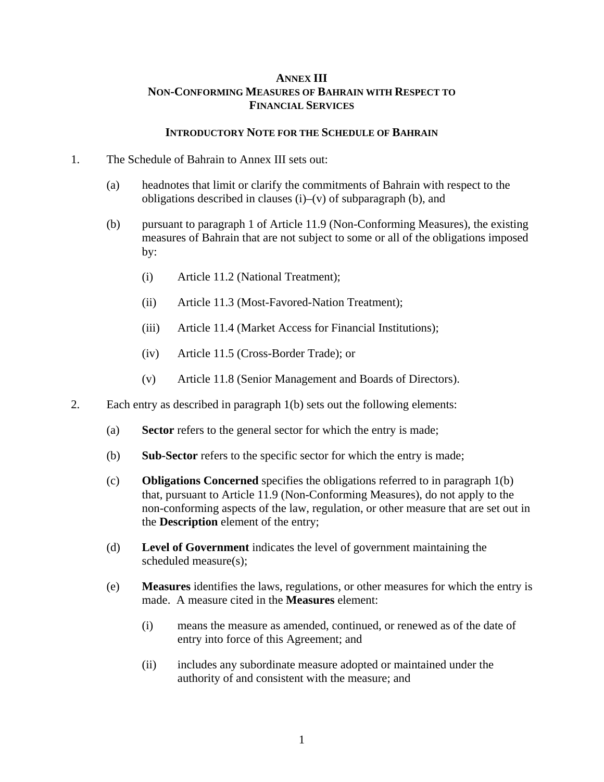## **ANNEX III NON-CONFORMING MEASURES OF BAHRAIN WITH RESPECT TO FINANCIAL SERVICES**

## **INTRODUCTORY NOTE FOR THE SCHEDULE OF BAHRAIN**

- 1. The Schedule of Bahrain to Annex III sets out:
	- (a) headnotes that limit or clarify the commitments of Bahrain with respect to the obligations described in clauses (i)–(v) of subparagraph (b), and
	- (b) pursuant to paragraph 1 of Article 11.9 (Non-Conforming Measures), the existing measures of Bahrain that are not subject to some or all of the obligations imposed by:
		- (i) Article 11.2 (National Treatment);
		- (ii) Article 11.3 (Most-Favored-Nation Treatment);
		- (iii) Article 11.4 (Market Access for Financial Institutions);
		- (iv) Article 11.5 (Cross-Border Trade); or
		- (v) Article 11.8 (Senior Management and Boards of Directors).
- 2. Each entry as described in paragraph 1(b) sets out the following elements:
	- (a) **Sector** refers to the general sector for which the entry is made;
	- (b) **Sub-Sector** refers to the specific sector for which the entry is made;
	- (c) **Obligations Concerned** specifies the obligations referred to in paragraph 1(b) that, pursuant to Article 11.9 (Non-Conforming Measures), do not apply to the non-conforming aspects of the law, regulation, or other measure that are set out in the **Description** element of the entry;
	- (d) **Level of Government** indicates the level of government maintaining the scheduled measure(s);
	- (e) **Measures** identifies the laws, regulations, or other measures for which the entry is made. A measure cited in the **Measures** element:
		- (i) means the measure as amended, continued, or renewed as of the date of entry into force of this Agreement; and
		- (ii) includes any subordinate measure adopted or maintained under the authority of and consistent with the measure; and